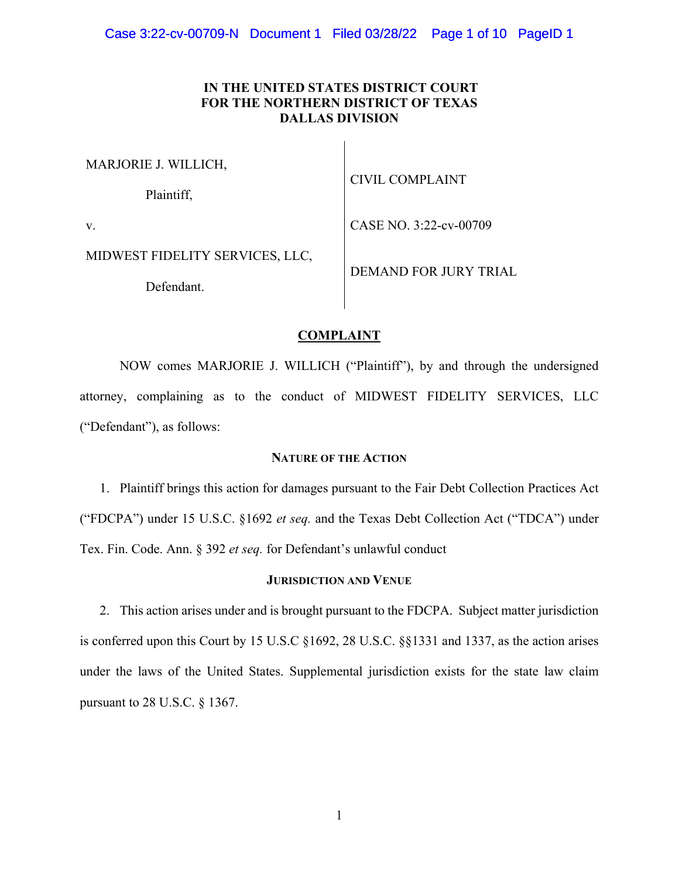# **IN THE UNITED STATES DISTRICT COURT FOR THE NORTHERN DISTRICT OF TEXAS DALLAS DIVISION**

MARJORIE J. WILLICH,

Plaintiff,

CIVIL COMPLAINT

v.

MIDWEST FIDELITY SERVICES, LLC,

Defendant.

DEMAND FOR JURY TRIAL

CASE NO. 3:22-cv-00709

# **COMPLAINT**

 NOW comes MARJORIE J. WILLICH ("Plaintiff"), by and through the undersigned attorney, complaining as to the conduct of MIDWEST FIDELITY SERVICES, LLC ("Defendant"), as follows:

## **NATURE OF THE ACTION**

1. Plaintiff brings this action for damages pursuant to the Fair Debt Collection Practices Act ("FDCPA") under 15 U.S.C. §1692 *et seq.* and the Texas Debt Collection Act ("TDCA") under Tex. Fin. Code. Ann. § 392 *et seq.* for Defendant's unlawful conduct

## **JURISDICTION AND VENUE**

2. This action arises under and is brought pursuant to the FDCPA. Subject matter jurisdiction is conferred upon this Court by 15 U.S.C §1692, 28 U.S.C. §§1331 and 1337, as the action arises under the laws of the United States. Supplemental jurisdiction exists for the state law claim pursuant to 28 U.S.C. § 1367.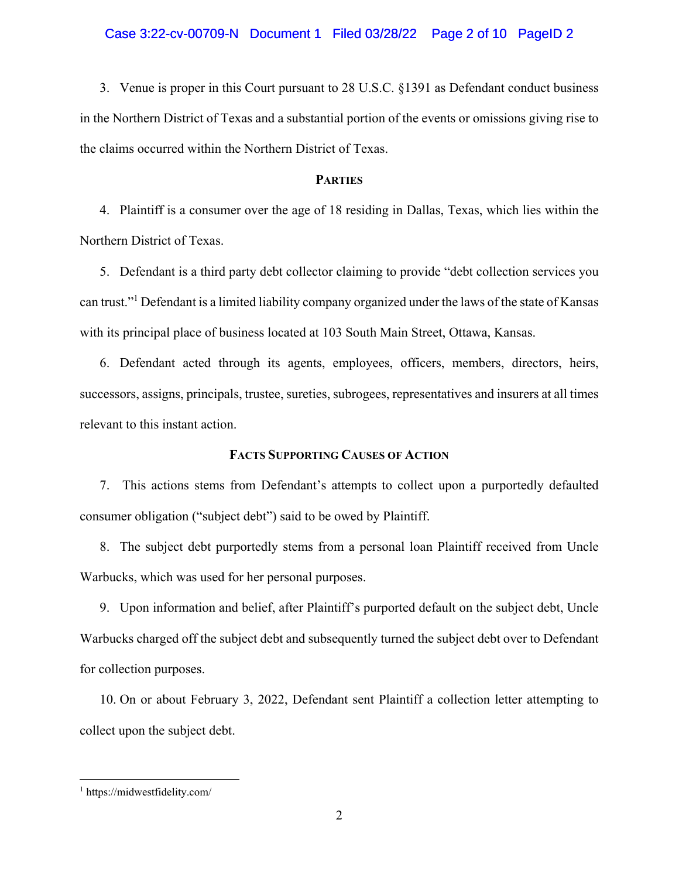### Case 3:22-cv-00709-N Document 1 Filed 03/28/22 Page 2 of 10 PageID 2

3. Venue is proper in this Court pursuant to 28 U.S.C. §1391 as Defendant conduct business in the Northern District of Texas and a substantial portion of the events or omissions giving rise to the claims occurred within the Northern District of Texas.

## **PARTIES**

4. Plaintiff is a consumer over the age of 18 residing in Dallas, Texas, which lies within the Northern District of Texas.

5. Defendant is a third party debt collector claiming to provide "debt collection services you can trust."<sup>1</sup> Defendant is a limited liability company organized under the laws of the state of Kansas with its principal place of business located at 103 South Main Street, Ottawa, Kansas.

6. Defendant acted through its agents, employees, officers, members, directors, heirs, successors, assigns, principals, trustee, sureties, subrogees, representatives and insurers at all times relevant to this instant action.

## **FACTS SUPPORTING CAUSES OF ACTION**

7. This actions stems from Defendant's attempts to collect upon a purportedly defaulted consumer obligation ("subject debt") said to be owed by Plaintiff.

8. The subject debt purportedly stems from a personal loan Plaintiff received from Uncle Warbucks, which was used for her personal purposes.

9. Upon information and belief, after Plaintiff's purported default on the subject debt, Uncle Warbucks charged off the subject debt and subsequently turned the subject debt over to Defendant for collection purposes.

10. On or about February 3, 2022, Defendant sent Plaintiff a collection letter attempting to collect upon the subject debt.

 $\overline{a}$ 

<sup>1</sup> https://midwestfidelity.com/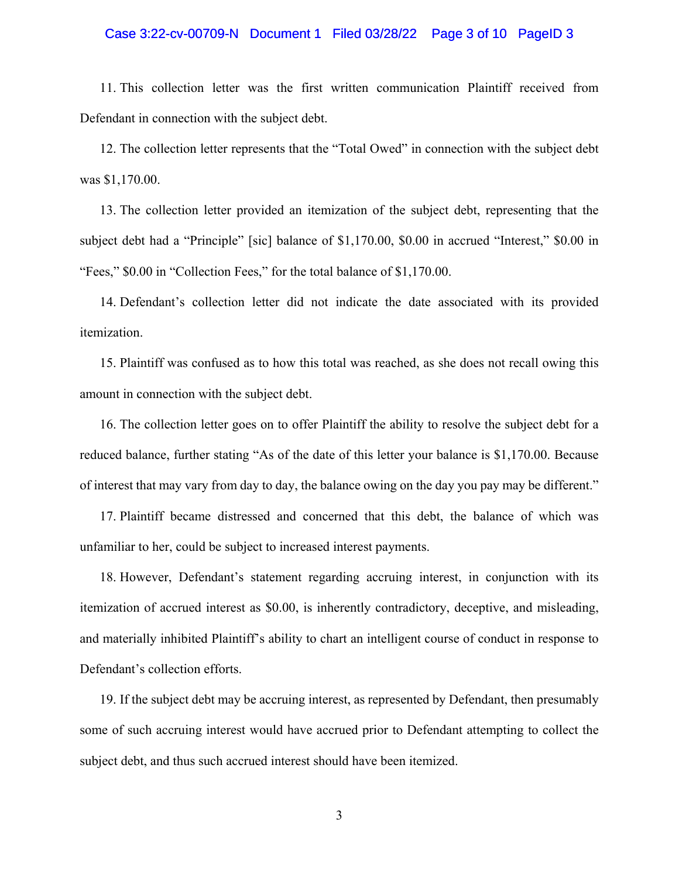### Case 3:22-cv-00709-N Document 1 Filed 03/28/22 Page 3 of 10 PageID 3

11. This collection letter was the first written communication Plaintiff received from Defendant in connection with the subject debt.

12. The collection letter represents that the "Total Owed" in connection with the subject debt was \$1,170.00.

13. The collection letter provided an itemization of the subject debt, representing that the subject debt had a "Principle" [sic] balance of \$1,170.00, \$0.00 in accrued "Interest," \$0.00 in "Fees," \$0.00 in "Collection Fees," for the total balance of \$1,170.00.

14. Defendant's collection letter did not indicate the date associated with its provided itemization.

15. Plaintiff was confused as to how this total was reached, as she does not recall owing this amount in connection with the subject debt.

16. The collection letter goes on to offer Plaintiff the ability to resolve the subject debt for a reduced balance, further stating "As of the date of this letter your balance is \$1,170.00. Because of interest that may vary from day to day, the balance owing on the day you pay may be different."

17. Plaintiff became distressed and concerned that this debt, the balance of which was unfamiliar to her, could be subject to increased interest payments.

18. However, Defendant's statement regarding accruing interest, in conjunction with its itemization of accrued interest as \$0.00, is inherently contradictory, deceptive, and misleading, and materially inhibited Plaintiff's ability to chart an intelligent course of conduct in response to Defendant's collection efforts.

19. If the subject debt may be accruing interest, as represented by Defendant, then presumably some of such accruing interest would have accrued prior to Defendant attempting to collect the subject debt, and thus such accrued interest should have been itemized.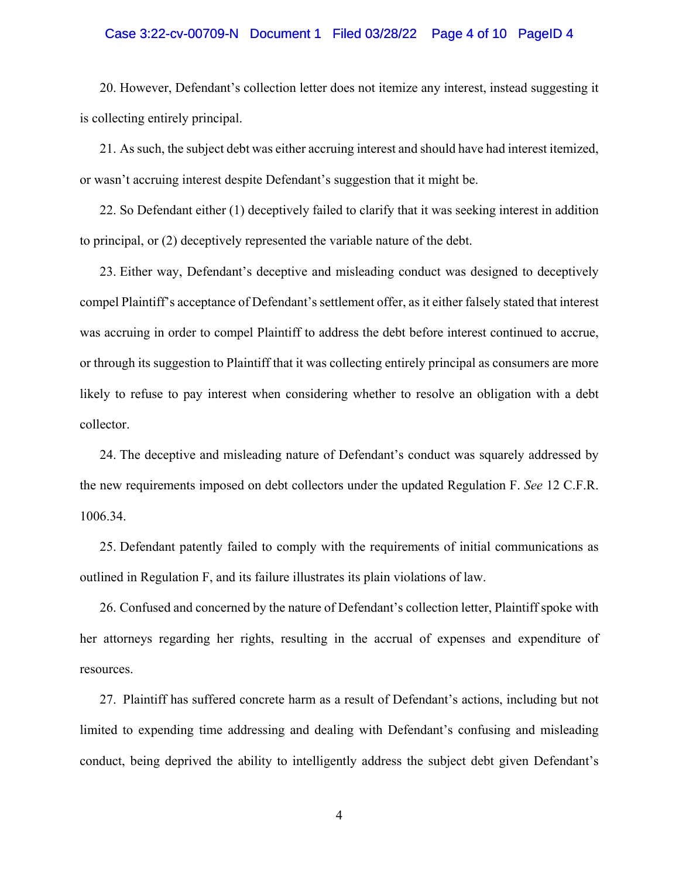### Case 3:22-cv-00709-N Document 1 Filed 03/28/22 Page 4 of 10 PageID 4

20. However, Defendant's collection letter does not itemize any interest, instead suggesting it is collecting entirely principal.

21. As such, the subject debt was either accruing interest and should have had interest itemized, or wasn't accruing interest despite Defendant's suggestion that it might be.

22. So Defendant either (1) deceptively failed to clarify that it was seeking interest in addition to principal, or (2) deceptively represented the variable nature of the debt.

23. Either way, Defendant's deceptive and misleading conduct was designed to deceptively compel Plaintiff's acceptance of Defendant's settlement offer, as it either falsely stated that interest was accruing in order to compel Plaintiff to address the debt before interest continued to accrue, or through its suggestion to Plaintiff that it was collecting entirely principal as consumers are more likely to refuse to pay interest when considering whether to resolve an obligation with a debt collector.

24. The deceptive and misleading nature of Defendant's conduct was squarely addressed by the new requirements imposed on debt collectors under the updated Regulation F. *See* 12 C.F.R. 1006.34.

25. Defendant patently failed to comply with the requirements of initial communications as outlined in Regulation F, and its failure illustrates its plain violations of law.

26. Confused and concerned by the nature of Defendant's collection letter, Plaintiff spoke with her attorneys regarding her rights, resulting in the accrual of expenses and expenditure of resources.

27. Plaintiff has suffered concrete harm as a result of Defendant's actions, including but not limited to expending time addressing and dealing with Defendant's confusing and misleading conduct, being deprived the ability to intelligently address the subject debt given Defendant's

4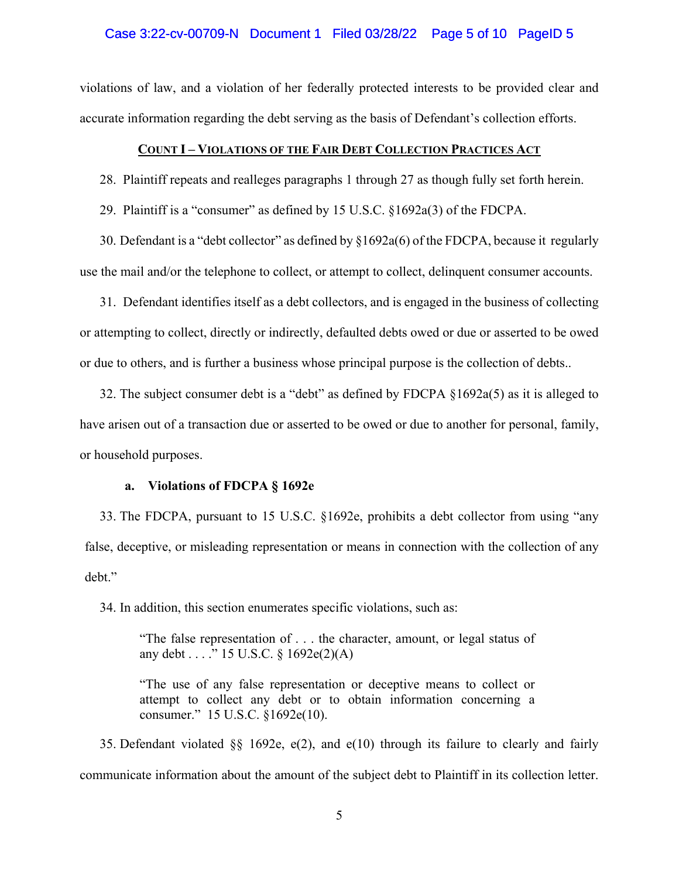### Case 3:22-cv-00709-N Document 1 Filed 03/28/22 Page 5 of 10 PageID 5

violations of law, and a violation of her federally protected interests to be provided clear and accurate information regarding the debt serving as the basis of Defendant's collection efforts.

### **COUNT I – VIOLATIONS OF THE FAIR DEBT COLLECTION PRACTICES ACT**

28. Plaintiff repeats and realleges paragraphs 1 through 27 as though fully set forth herein.

29. Plaintiff is a "consumer" as defined by 15 U.S.C. §1692a(3) of the FDCPA.

30. Defendant is a "debt collector" as defined by §1692a(6) of the FDCPA, because it regularly use the mail and/or the telephone to collect, or attempt to collect, delinquent consumer accounts.

31. Defendant identifies itself as a debt collectors, and is engaged in the business of collecting or attempting to collect, directly or indirectly, defaulted debts owed or due or asserted to be owed or due to others, and is further a business whose principal purpose is the collection of debts..

32. The subject consumer debt is a "debt" as defined by FDCPA §1692a(5) as it is alleged to have arisen out of a transaction due or asserted to be owed or due to another for personal, family, or household purposes.

## **a. Violations of FDCPA § 1692e**

33. The FDCPA, pursuant to 15 U.S.C. §1692e, prohibits a debt collector from using "any false, deceptive, or misleading representation or means in connection with the collection of any debt."

34. In addition, this section enumerates specific violations, such as:

"The false representation of . . . the character, amount, or legal status of any debt . . . ." 15 U.S.C. § 1692e(2)(A)

"The use of any false representation or deceptive means to collect or attempt to collect any debt or to obtain information concerning a consumer." 15 U.S.C. §1692e(10).

35. Defendant violated  $\S$ § 1692e, e(2), and e(10) through its failure to clearly and fairly communicate information about the amount of the subject debt to Plaintiff in its collection letter.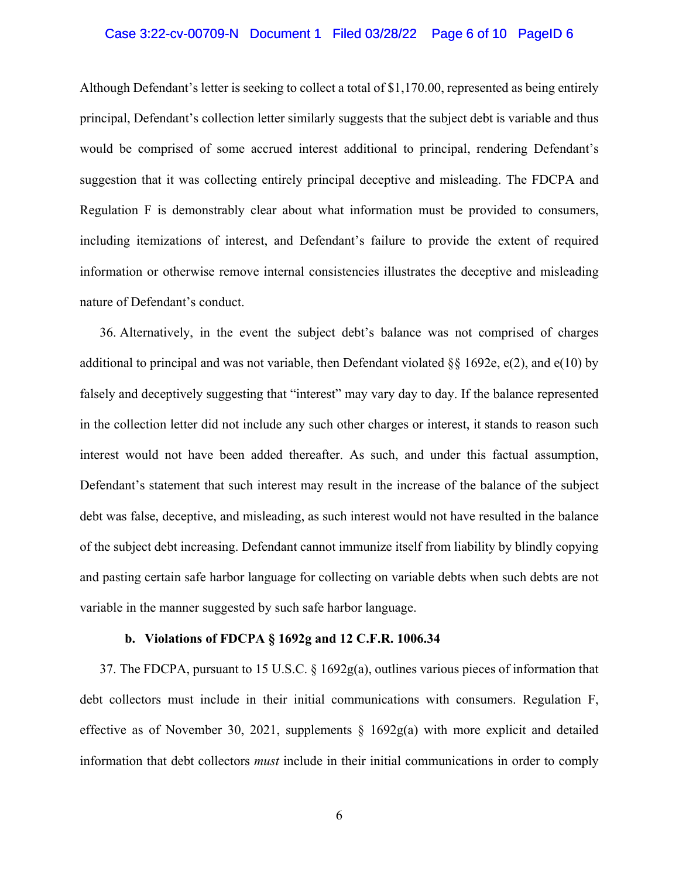### Case 3:22-cv-00709-N Document 1 Filed 03/28/22 Page 6 of 10 PageID 6

Although Defendant's letter is seeking to collect a total of \$1,170.00, represented as being entirely principal, Defendant's collection letter similarly suggests that the subject debt is variable and thus would be comprised of some accrued interest additional to principal, rendering Defendant's suggestion that it was collecting entirely principal deceptive and misleading. The FDCPA and Regulation F is demonstrably clear about what information must be provided to consumers, including itemizations of interest, and Defendant's failure to provide the extent of required information or otherwise remove internal consistencies illustrates the deceptive and misleading nature of Defendant's conduct.

36. Alternatively, in the event the subject debt's balance was not comprised of charges additional to principal and was not variable, then Defendant violated  $\S$ § 1692e, e(2), and e(10) by falsely and deceptively suggesting that "interest" may vary day to day. If the balance represented in the collection letter did not include any such other charges or interest, it stands to reason such interest would not have been added thereafter. As such, and under this factual assumption, Defendant's statement that such interest may result in the increase of the balance of the subject debt was false, deceptive, and misleading, as such interest would not have resulted in the balance of the subject debt increasing. Defendant cannot immunize itself from liability by blindly copying and pasting certain safe harbor language for collecting on variable debts when such debts are not variable in the manner suggested by such safe harbor language.

#### **b. Violations of FDCPA § 1692g and 12 C.F.R. 1006.34**

37. The FDCPA, pursuant to 15 U.S.C. § 1692g(a), outlines various pieces of information that debt collectors must include in their initial communications with consumers. Regulation F, effective as of November 30, 2021, supplements § 1692g(a) with more explicit and detailed information that debt collectors *must* include in their initial communications in order to comply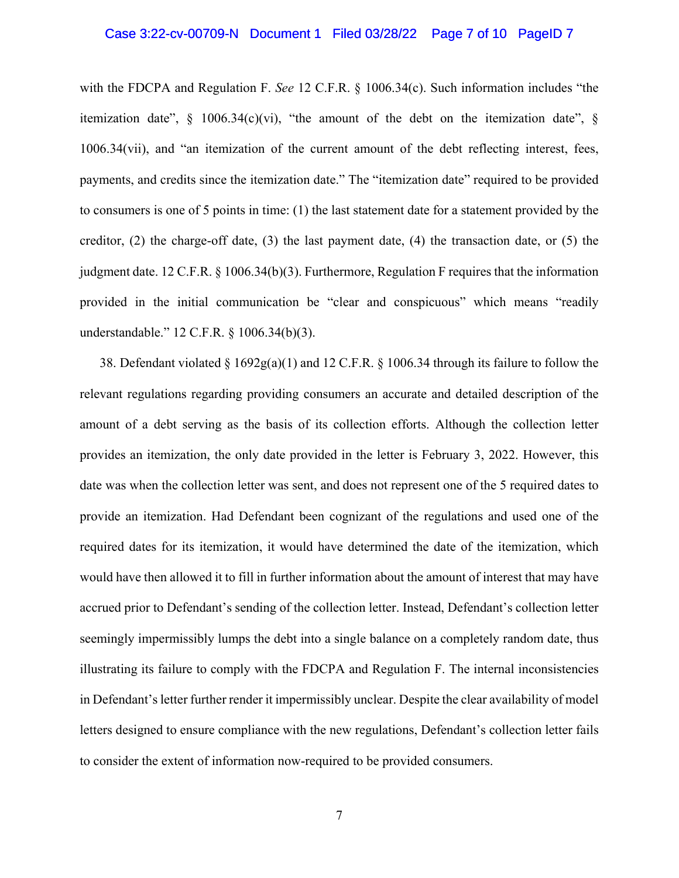#### Case 3:22-cv-00709-N Document 1 Filed 03/28/22 Page 7 of 10 PageID 7

with the FDCPA and Regulation F. *See* 12 C.F.R. § 1006.34(c). Such information includes "the itemization date",  $\S$  1006.34(c)(vi), "the amount of the debt on the itemization date",  $\S$ 1006.34(vii), and "an itemization of the current amount of the debt reflecting interest, fees, payments, and credits since the itemization date." The "itemization date" required to be provided to consumers is one of 5 points in time: (1) the last statement date for a statement provided by the creditor,  $(2)$  the charge-off date,  $(3)$  the last payment date,  $(4)$  the transaction date, or  $(5)$  the judgment date. 12 C.F.R. § 1006.34(b)(3). Furthermore, Regulation F requires that the information provided in the initial communication be "clear and conspicuous" which means "readily understandable." 12 C.F.R. § 1006.34(b)(3).

38. Defendant violated § 1692g(a)(1) and 12 C.F.R. § 1006.34 through its failure to follow the relevant regulations regarding providing consumers an accurate and detailed description of the amount of a debt serving as the basis of its collection efforts. Although the collection letter provides an itemization, the only date provided in the letter is February 3, 2022. However, this date was when the collection letter was sent, and does not represent one of the 5 required dates to provide an itemization. Had Defendant been cognizant of the regulations and used one of the required dates for its itemization, it would have determined the date of the itemization, which would have then allowed it to fill in further information about the amount of interest that may have accrued prior to Defendant's sending of the collection letter. Instead, Defendant's collection letter seemingly impermissibly lumps the debt into a single balance on a completely random date, thus illustrating its failure to comply with the FDCPA and Regulation F. The internal inconsistencies in Defendant's letter further render it impermissibly unclear. Despite the clear availability of model letters designed to ensure compliance with the new regulations, Defendant's collection letter fails to consider the extent of information now-required to be provided consumers.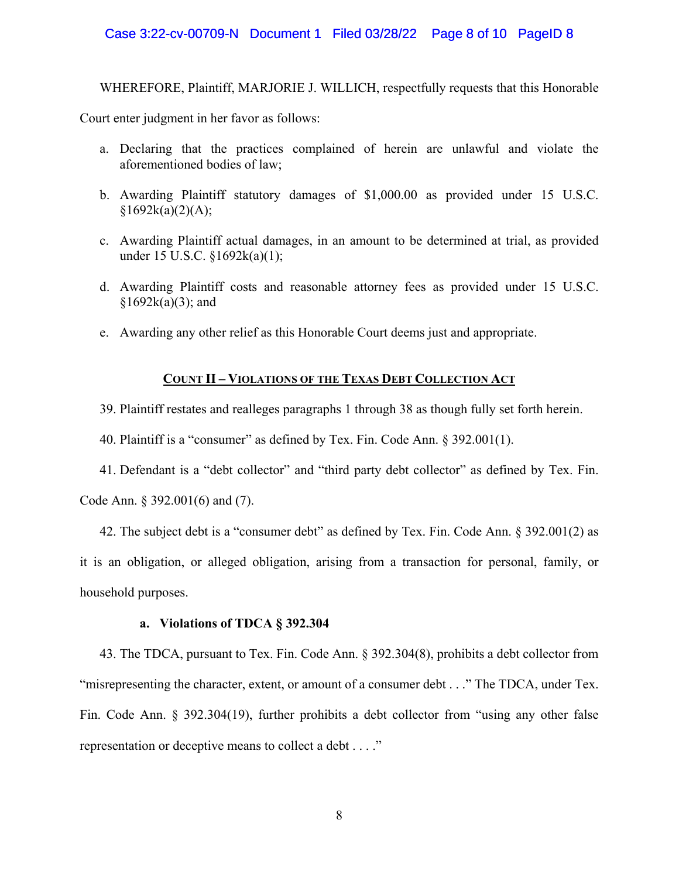### Case 3:22-cv-00709-N Document 1 Filed 03/28/22 Page 8 of 10 PageID 8

WHEREFORE, Plaintiff, MARJORIE J. WILLICH, respectfully requests that this Honorable

Court enter judgment in her favor as follows:

- a. Declaring that the practices complained of herein are unlawful and violate the aforementioned bodies of law;
- b. Awarding Plaintiff statutory damages of \$1,000.00 as provided under 15 U.S.C.  $§1692k(a)(2)(A);$
- c. Awarding Plaintiff actual damages, in an amount to be determined at trial, as provided under 15 U.S.C. §1692k(a)(1);
- d. Awarding Plaintiff costs and reasonable attorney fees as provided under 15 U.S.C.  $§1692k(a)(3);$  and
- e. Awarding any other relief as this Honorable Court deems just and appropriate.

# **COUNT II – VIOLATIONS OF THE TEXAS DEBT COLLECTION ACT**

39. Plaintiff restates and realleges paragraphs 1 through 38 as though fully set forth herein.

40. Plaintiff is a "consumer" as defined by Tex. Fin. Code Ann. § 392.001(1).

41. Defendant is a "debt collector" and "third party debt collector" as defined by Tex. Fin.

Code Ann. § 392.001(6) and (7).

42. The subject debt is a "consumer debt" as defined by Tex. Fin. Code Ann. § 392.001(2) as it is an obligation, or alleged obligation, arising from a transaction for personal, family, or household purposes.

#### **a. Violations of TDCA § 392.304**

43. The TDCA, pursuant to Tex. Fin. Code Ann. § 392.304(8), prohibits a debt collector from "misrepresenting the character, extent, or amount of a consumer debt . . ." The TDCA, under Tex. Fin. Code Ann. § 392.304(19), further prohibits a debt collector from "using any other false representation or deceptive means to collect a debt . . . ."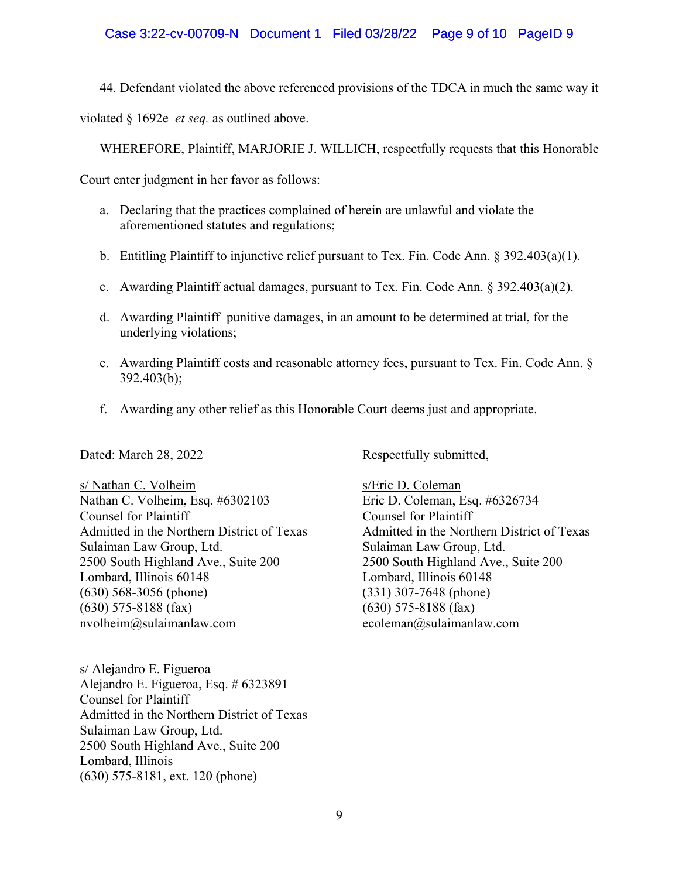# Case 3:22-cv-00709-N Document 1 Filed 03/28/22 Page 9 of 10 PageID 9

44. Defendant violated the above referenced provisions of the TDCA in much the same way it

violated § 1692e *et seq.* as outlined above.

WHEREFORE, Plaintiff, MARJORIE J. WILLICH, respectfully requests that this Honorable

Court enter judgment in her favor as follows:

- a. Declaring that the practices complained of herein are unlawful and violate the aforementioned statutes and regulations;
- b. Entitling Plaintiff to injunctive relief pursuant to Tex. Fin. Code Ann. § 392.403(a)(1).
- c. Awarding Plaintiff actual damages, pursuant to Tex. Fin. Code Ann. § 392.403(a)(2).
- d. Awarding Plaintiff punitive damages, in an amount to be determined at trial, for the underlying violations;
- e. Awarding Plaintiff costs and reasonable attorney fees, pursuant to Tex. Fin. Code Ann. § 392.403(b);
- f. Awarding any other relief as this Honorable Court deems just and appropriate.

s/ Nathan C. Volheim<br>
Nathan C. Volheim, Esq. #6302103<br>
Eric D. Coleman, Esq. #6326734 Nathan C. Volheim, Esq. #6302103 Counsel for Plaintiff Counsel for Plaintiff Sulaiman Law Group, Ltd.<br>
2500 South Highland Ave., Suite 200 2500 South Highland Ave., Lombard, Illinois 60148 (630) 568-3056 (phone) (331) 307-7648 (phone) (630) 575-8188 (fax) (630) 575-8188 (fax) nvolheim@sulaimanlaw.com ecoleman@sulaimanlaw.com

s/ Alejandro E. Figueroa Alejandro E. Figueroa, Esq. # 6323891 Counsel for Plaintiff Admitted in the Northern District of Texas Sulaiman Law Group, Ltd. 2500 South Highland Ave., Suite 200 Lombard, Illinois (630) 575-8181, ext. 120 (phone)

Dated: March 28, 2022 Respectfully submitted,

Admitted in the Northern District of Texas Admitted in the Northern District of Texas 2500 South Highland Ave., Suite 200<br>Lombard, Illinois 60148